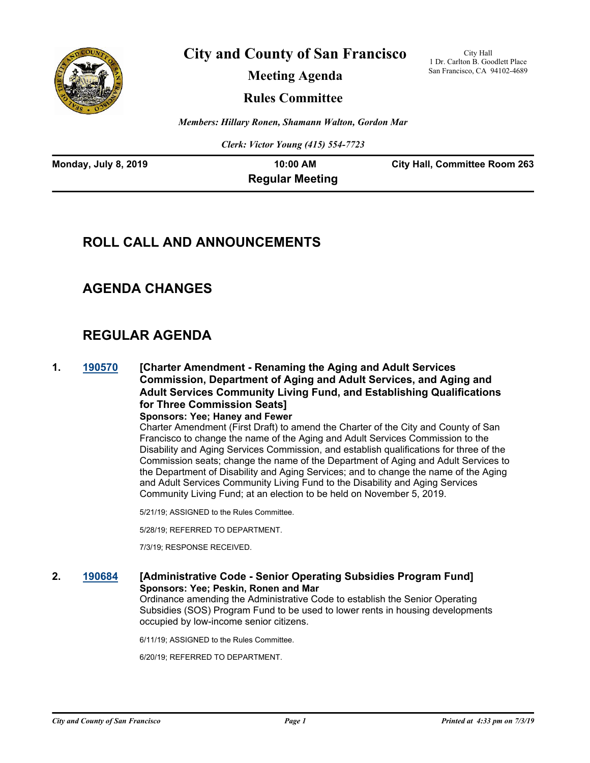

**City and County of San Francisco**

City Hall 1 Dr. Carlton B. Goodlett Place San Francisco, CA 94102-4689

**Meeting Agenda**

**Rules Committee**

*Members: Hillary Ronen, Shamann Walton, Gordon Mar*

*Clerk: Victor Young (415) 554-7723*

| Monday, July 8, 2019 | $10:00$ AM             | <b>City Hall, Committee Room 263</b> |
|----------------------|------------------------|--------------------------------------|
|                      | <b>Regular Meeting</b> |                                      |

# **ROLL CALL AND ANNOUNCEMENTS**

# **AGENDA CHANGES**

# **REGULAR AGENDA**

**1. [190570](http://sfgov.legistar.com/gateway.aspx?m=l&id=34692) [Charter Amendment - Renaming the Aging and Adult Services Commission, Department of Aging and Adult Services, and Aging and Adult Services Community Living Fund, and Establishing Qualifications for Three Commission Seats] Sponsors: Yee; Haney and Fewer**

Charter Amendment (First Draft) to amend the Charter of the City and County of San Francisco to change the name of the Aging and Adult Services Commission to the Disability and Aging Services Commission, and establish qualifications for three of the Commission seats; change the name of the Department of Aging and Adult Services to the Department of Disability and Aging Services; and to change the name of the Aging and Adult Services Community Living Fund to the Disability and Aging Services Community Living Fund; at an election to be held on November 5, 2019.

5/21/19; ASSIGNED to the Rules Committee.

5/28/19; REFERRED TO DEPARTMENT.

7/3/19; RESPONSE RECEIVED.

#### **2. [190684](http://sfgov.legistar.com/gateway.aspx?m=l&id=34806) [Administrative Code - Senior Operating Subsidies Program Fund] Sponsors: Yee; Peskin, Ronen and Mar**

Ordinance amending the Administrative Code to establish the Senior Operating Subsidies (SOS) Program Fund to be used to lower rents in housing developments occupied by low-income senior citizens.

6/11/19; ASSIGNED to the Rules Committee.

6/20/19; REFERRED TO DEPARTMENT.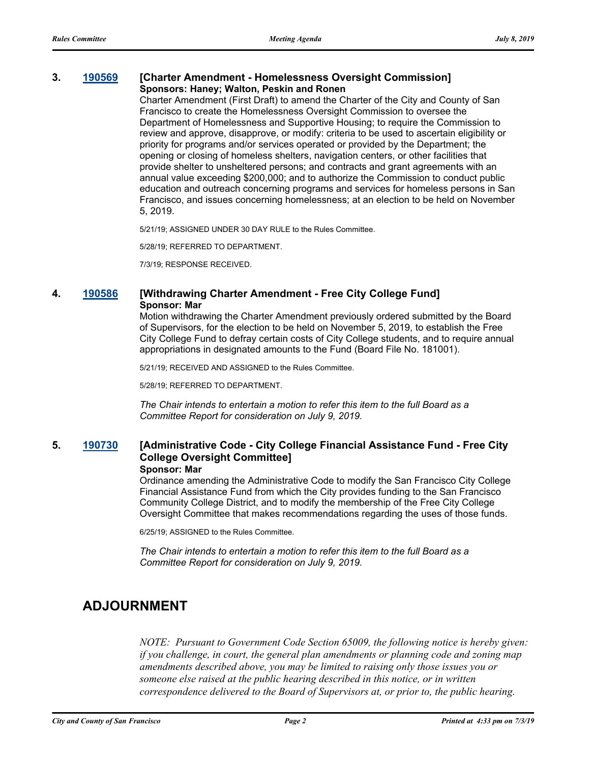#### **3. [190569](http://sfgov.legistar.com/gateway.aspx?m=l&id=34691) [Charter Amendment - Homelessness Oversight Commission] Sponsors: Haney; Walton, Peskin and Ronen**

Charter Amendment (First Draft) to amend the Charter of the City and County of San Francisco to create the Homelessness Oversight Commission to oversee the Department of Homelessness and Supportive Housing; to require the Commission to review and approve, disapprove, or modify: criteria to be used to ascertain eligibility or priority for programs and/or services operated or provided by the Department; the opening or closing of homeless shelters, navigation centers, or other facilities that provide shelter to unsheltered persons; and contracts and grant agreements with an annual value exceeding \$200,000; and to authorize the Commission to conduct public education and outreach concerning programs and services for homeless persons in San Francisco, and issues concerning homelessness; at an election to be held on November 5, 2019.

5/21/19; ASSIGNED UNDER 30 DAY RULE to the Rules Committee.

5/28/19; REFERRED TO DEPARTMENT.

7/3/19; RESPONSE RECEIVED.

#### **4. [190586](http://sfgov.legistar.com/gateway.aspx?m=l&id=34708) [Withdrawing Charter Amendment - Free City College Fund] Sponsor: Mar**

Motion withdrawing the Charter Amendment previously ordered submitted by the Board of Supervisors, for the election to be held on November 5, 2019, to establish the Free City College Fund to defray certain costs of City College students, and to require annual appropriations in designated amounts to the Fund (Board File No. 181001).

5/21/19; RECEIVED AND ASSIGNED to the Rules Committee.

5/28/19; REFERRED TO DEPARTMENT.

*The Chair intends to entertain a motion to refer this item to the full Board as a Committee Report for consideration on July 9, 2019.*

#### **5. [190730](http://sfgov.legistar.com/gateway.aspx?m=l&id=34852) [Administrative Code - City College Financial Assistance Fund - Free City College Oversight Committee] Sponsor: Mar**

Ordinance amending the Administrative Code to modify the San Francisco City College Financial Assistance Fund from which the City provides funding to the San Francisco Community College District, and to modify the membership of the Free City College Oversight Committee that makes recommendations regarding the uses of those funds.

6/25/19; ASSIGNED to the Rules Committee.

*The Chair intends to entertain a motion to refer this item to the full Board as a Committee Report for consideration on July 9, 2019.*

# **ADJOURNMENT**

*NOTE: Pursuant to Government Code Section 65009, the following notice is hereby given: if you challenge, in court, the general plan amendments or planning code and zoning map amendments described above, you may be limited to raising only those issues you or someone else raised at the public hearing described in this notice, or in written correspondence delivered to the Board of Supervisors at, or prior to, the public hearing.*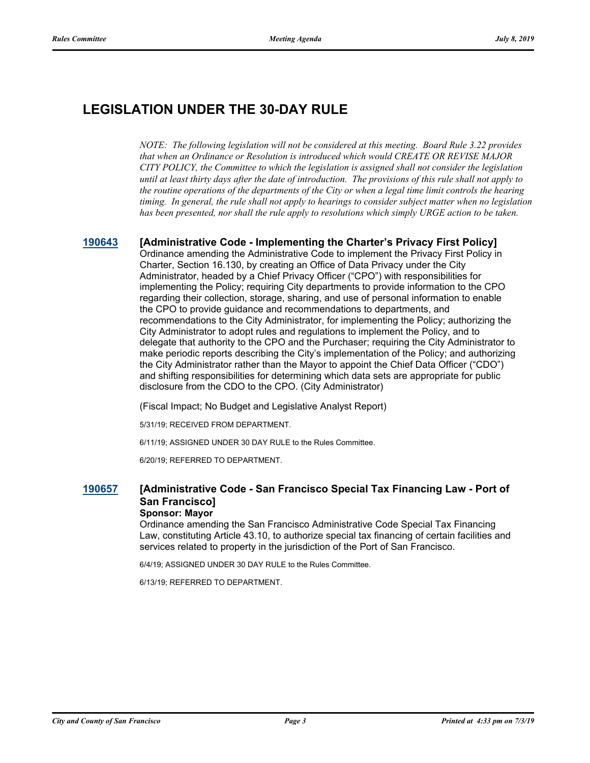# **LEGISLATION UNDER THE 30-DAY RULE**

*NOTE: The following legislation will not be considered at this meeting. Board Rule 3.22 provides that when an Ordinance or Resolution is introduced which would CREATE OR REVISE MAJOR CITY POLICY, the Committee to which the legislation is assigned shall not consider the legislation until at least thirty days after the date of introduction. The provisions of this rule shall not apply to the routine operations of the departments of the City or when a legal time limit controls the hearing timing. In general, the rule shall not apply to hearings to consider subject matter when no legislation has been presented, nor shall the rule apply to resolutions which simply URGE action to be taken.*

#### **[190643](http://sfgov.legistar.com/gateway.aspx?m=l&id=34765) [Administrative Code - Implementing the Charter's Privacy First Policy]**

Ordinance amending the Administrative Code to implement the Privacy First Policy in Charter, Section 16.130, by creating an Office of Data Privacy under the City Administrator, headed by a Chief Privacy Officer ("CPO") with responsibilities for implementing the Policy; requiring City departments to provide information to the CPO regarding their collection, storage, sharing, and use of personal information to enable the CPO to provide guidance and recommendations to departments, and recommendations to the City Administrator, for implementing the Policy; authorizing the City Administrator to adopt rules and regulations to implement the Policy, and to delegate that authority to the CPO and the Purchaser; requiring the City Administrator to make periodic reports describing the City's implementation of the Policy; and authorizing the City Administrator rather than the Mayor to appoint the Chief Data Officer ("CDO") and shifting responsibilities for determining which data sets are appropriate for public disclosure from the CDO to the CPO. (City Administrator)

(Fiscal Impact; No Budget and Legislative Analyst Report)

5/31/19; RECEIVED FROM DEPARTMENT.

6/11/19; ASSIGNED UNDER 30 DAY RULE to the Rules Committee.

6/20/19; REFERRED TO DEPARTMENT.

### **[190657](http://sfgov.legistar.com/gateway.aspx?m=l&id=34779) [Administrative Code - San Francisco Special Tax Financing Law - Port of San Francisco]**

### **Sponsor: Mayor**

Ordinance amending the San Francisco Administrative Code Special Tax Financing Law, constituting Article 43.10, to authorize special tax financing of certain facilities and services related to property in the jurisdiction of the Port of San Francisco.

6/4/19; ASSIGNED UNDER 30 DAY RULE to the Rules Committee.

6/13/19; REFERRED TO DEPARTMENT.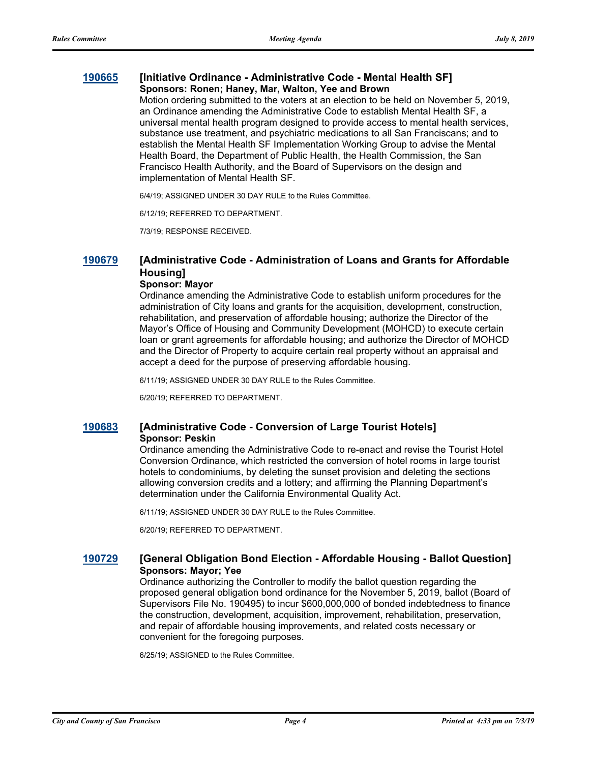#### **[190665](http://sfgov.legistar.com/gateway.aspx?m=l&id=34787) [Initiative Ordinance - Administrative Code - Mental Health SF] Sponsors: Ronen; Haney, Mar, Walton, Yee and Brown**

Motion ordering submitted to the voters at an election to be held on November 5, 2019, an Ordinance amending the Administrative Code to establish Mental Health SF, a universal mental health program designed to provide access to mental health services, substance use treatment, and psychiatric medications to all San Franciscans; and to establish the Mental Health SF Implementation Working Group to advise the Mental Health Board, the Department of Public Health, the Health Commission, the San Francisco Health Authority, and the Board of Supervisors on the design and implementation of Mental Health SF.

6/4/19; ASSIGNED UNDER 30 DAY RULE to the Rules Committee.

6/12/19; REFERRED TO DEPARTMENT.

7/3/19; RESPONSE RECEIVED.

### **[190679](http://sfgov.legistar.com/gateway.aspx?m=l&id=34801) [Administrative Code - Administration of Loans and Grants for Affordable Housing]**

#### **Sponsor: Mayor**

Ordinance amending the Administrative Code to establish uniform procedures for the administration of City loans and grants for the acquisition, development, construction, rehabilitation, and preservation of affordable housing; authorize the Director of the Mayor's Office of Housing and Community Development (MOHCD) to execute certain loan or grant agreements for affordable housing; and authorize the Director of MOHCD and the Director of Property to acquire certain real property without an appraisal and accept a deed for the purpose of preserving affordable housing.

6/11/19; ASSIGNED UNDER 30 DAY RULE to the Rules Committee.

6/20/19; REFERRED TO DEPARTMENT.

#### **[190683](http://sfgov.legistar.com/gateway.aspx?m=l&id=34805) [Administrative Code - Conversion of Large Tourist Hotels] Sponsor: Peskin**

Ordinance amending the Administrative Code to re-enact and revise the Tourist Hotel Conversion Ordinance, which restricted the conversion of hotel rooms in large tourist hotels to condominiums, by deleting the sunset provision and deleting the sections allowing conversion credits and a lottery; and affirming the Planning Department's determination under the California Environmental Quality Act.

6/11/19; ASSIGNED UNDER 30 DAY RULE to the Rules Committee.

6/20/19; REFERRED TO DEPARTMENT.

#### **[190729](http://sfgov.legistar.com/gateway.aspx?m=l&id=34851) [General Obligation Bond Election - Affordable Housing - Ballot Question] Sponsors: Mayor; Yee**

Ordinance authorizing the Controller to modify the ballot question regarding the proposed general obligation bond ordinance for the November 5, 2019, ballot (Board of Supervisors File No. 190495) to incur \$600,000,000 of bonded indebtedness to finance the construction, development, acquisition, improvement, rehabilitation, preservation, and repair of affordable housing improvements, and related costs necessary or convenient for the foregoing purposes.

6/25/19; ASSIGNED to the Rules Committee.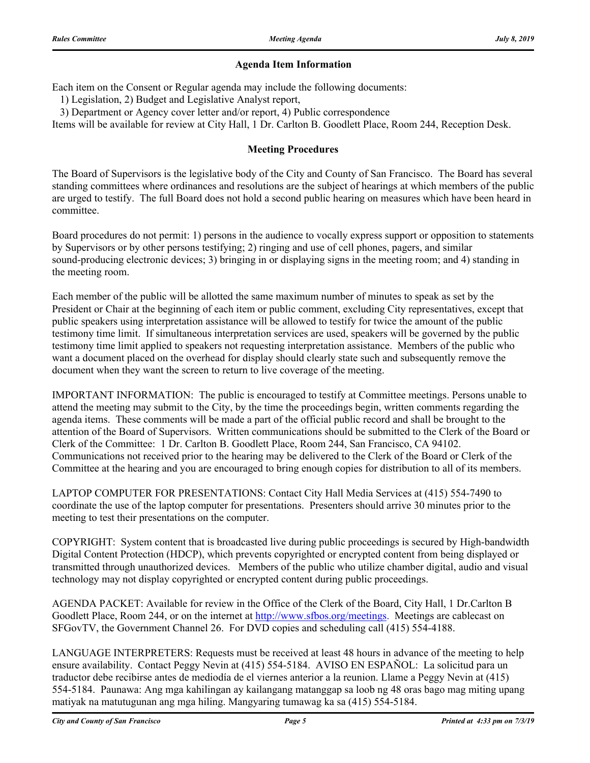### **Agenda Item Information**

Each item on the Consent or Regular agenda may include the following documents:

1) Legislation, 2) Budget and Legislative Analyst report,

3) Department or Agency cover letter and/or report, 4) Public correspondence

Items will be available for review at City Hall, 1 Dr. Carlton B. Goodlett Place, Room 244, Reception Desk.

### **Meeting Procedures**

The Board of Supervisors is the legislative body of the City and County of San Francisco. The Board has several standing committees where ordinances and resolutions are the subject of hearings at which members of the public are urged to testify. The full Board does not hold a second public hearing on measures which have been heard in committee.

Board procedures do not permit: 1) persons in the audience to vocally express support or opposition to statements by Supervisors or by other persons testifying; 2) ringing and use of cell phones, pagers, and similar sound-producing electronic devices; 3) bringing in or displaying signs in the meeting room; and 4) standing in the meeting room.

Each member of the public will be allotted the same maximum number of minutes to speak as set by the President or Chair at the beginning of each item or public comment, excluding City representatives, except that public speakers using interpretation assistance will be allowed to testify for twice the amount of the public testimony time limit. If simultaneous interpretation services are used, speakers will be governed by the public testimony time limit applied to speakers not requesting interpretation assistance. Members of the public who want a document placed on the overhead for display should clearly state such and subsequently remove the document when they want the screen to return to live coverage of the meeting.

IMPORTANT INFORMATION: The public is encouraged to testify at Committee meetings. Persons unable to attend the meeting may submit to the City, by the time the proceedings begin, written comments regarding the agenda items. These comments will be made a part of the official public record and shall be brought to the attention of the Board of Supervisors. Written communications should be submitted to the Clerk of the Board or Clerk of the Committee: 1 Dr. Carlton B. Goodlett Place, Room 244, San Francisco, CA 94102. Communications not received prior to the hearing may be delivered to the Clerk of the Board or Clerk of the Committee at the hearing and you are encouraged to bring enough copies for distribution to all of its members.

LAPTOP COMPUTER FOR PRESENTATIONS: Contact City Hall Media Services at (415) 554-7490 to coordinate the use of the laptop computer for presentations. Presenters should arrive 30 minutes prior to the meeting to test their presentations on the computer.

COPYRIGHT: System content that is broadcasted live during public proceedings is secured by High-bandwidth Digital Content Protection (HDCP), which prevents copyrighted or encrypted content from being displayed or transmitted through unauthorized devices. Members of the public who utilize chamber digital, audio and visual technology may not display copyrighted or encrypted content during public proceedings.

AGENDA PACKET: Available for review in the Office of the Clerk of the Board, City Hall, 1 Dr.Carlton B Goodlett Place, Room 244, or on the internet at http://www.sfbos.org/meetings. Meetings are cablecast on SFGovTV, the Government Channel 26. For DVD copies and scheduling call (415) 554-4188.

LANGUAGE INTERPRETERS: Requests must be received at least 48 hours in advance of the meeting to help ensure availability. Contact Peggy Nevin at (415) 554-5184. AVISO EN ESPAÑOL: La solicitud para un traductor debe recibirse antes de mediodía de el viernes anterior a la reunion. Llame a Peggy Nevin at (415) 554-5184. Paunawa: Ang mga kahilingan ay kailangang matanggap sa loob ng 48 oras bago mag miting upang matiyak na matutugunan ang mga hiling. Mangyaring tumawag ka sa (415) 554-5184.